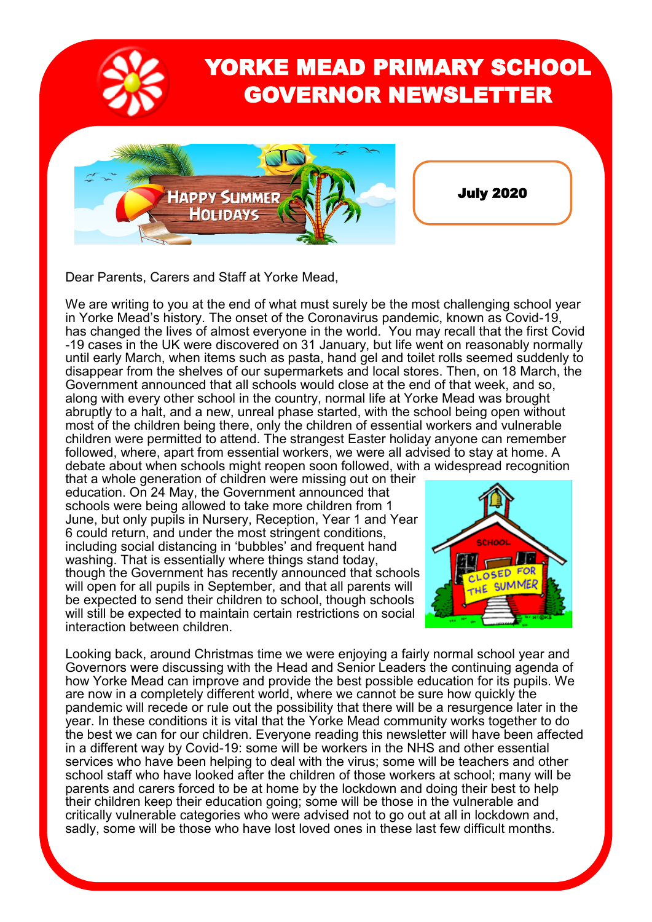

## YORKE MEAD PRIMARY SCHOOL GOVERNOR NEWSLETTER



Dear Parents, Carers and Staff at Yorke Mead,

We are writing to you at the end of what must surely be the most challenging school year in Yorke Mead's history. The onset of the Coronavirus pandemic, known as Covid-19, has changed the lives of almost everyone in the world. You may recall that the first Covid -19 cases in the UK were discovered on 31 January, but life went on reasonably normally until early March, when items such as pasta, hand gel and toilet rolls seemed suddenly to disappear from the shelves of our supermarkets and local stores. Then, on 18 March, the Government announced that all schools would close at the end of that week, and so, along with every other school in the country, normal life at Yorke Mead was brought abruptly to a halt, and a new, unreal phase started, with the school being open without most of the children being there, only the children of essential workers and vulnerable children were permitted to attend. The strangest Easter holiday anyone can remember followed, where, apart from essential workers, we were all advised to stay at home. A debate about when schools might reopen soon followed, with a widespread recognition

that a whole generation of children were missing out on their education. On 24 May, the Government announced that schools were being allowed to take more children from 1 June, but only pupils in Nursery, Reception, Year 1 and Year 6 could return, and under the most stringent conditions, including social distancing in 'bubbles' and frequent hand washing. That is essentially where things stand today, though the Government has recently announced that schools will open for all pupils in September, and that all parents will be expected to send their children to school, though schools will still be expected to maintain certain restrictions on social interaction between children.



Looking back, around Christmas time we were enjoying a fairly normal school year and Governors were discussing with the Head and Senior Leaders the continuing agenda of how Yorke Mead can improve and provide the best possible education for its pupils. We are now in a completely different world, where we cannot be sure how quickly the pandemic will recede or rule out the possibility that there will be a resurgence later in the year. In these conditions it is vital that the Yorke Mead community works together to do the best we can for our children. Everyone reading this newsletter will have been affected in a different way by Covid-19: some will be workers in the NHS and other essential services who have been helping to deal with the virus; some will be teachers and other school staff who have looked after the children of those workers at school; many will be parents and carers forced to be at home by the lockdown and doing their best to help their children keep their education going; some will be those in the vulnerable and critically vulnerable categories who were advised not to go out at all in lockdown and, sadly, some will be those who have lost loved ones in these last few difficult months.